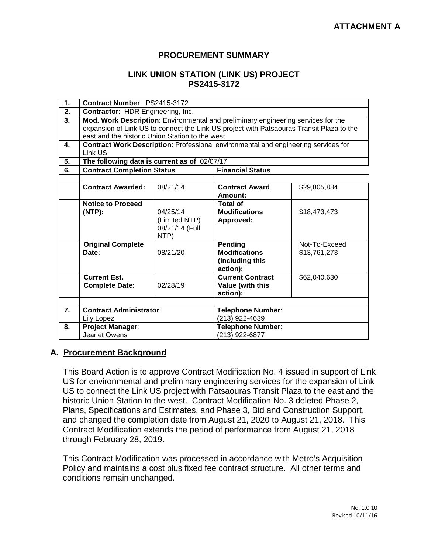## **PROCUREMENT SUMMARY**

## **LINK UNION STATION (LINK US) PROJECT PS2415-3172**

| 1.               | Contract Number: PS2415-3172                                                                                                                                                                                                      |                                                     |                                                                |                               |  |  |
|------------------|-----------------------------------------------------------------------------------------------------------------------------------------------------------------------------------------------------------------------------------|-----------------------------------------------------|----------------------------------------------------------------|-------------------------------|--|--|
| $\overline{2}$ . | Contractor: HDR Engineering, Inc.                                                                                                                                                                                                 |                                                     |                                                                |                               |  |  |
| 3.               | Mod. Work Description: Environmental and preliminary engineering services for the<br>expansion of Link US to connect the Link US project with Patsaouras Transit Plaza to the<br>east and the historic Union Station to the west. |                                                     |                                                                |                               |  |  |
| 4.               | Contract Work Description: Professional environmental and engineering services for<br>Link US                                                                                                                                     |                                                     |                                                                |                               |  |  |
| 5.               | The following data is current as of: 02/07/17                                                                                                                                                                                     |                                                     |                                                                |                               |  |  |
| 6.               | <b>Contract Completion Status</b>                                                                                                                                                                                                 |                                                     | <b>Financial Status</b>                                        |                               |  |  |
|                  |                                                                                                                                                                                                                                   |                                                     |                                                                |                               |  |  |
|                  | <b>Contract Awarded:</b>                                                                                                                                                                                                          | 08/21/14                                            | <b>Contract Award</b><br>Amount:                               | \$29,805,884                  |  |  |
|                  | <b>Notice to Proceed</b><br>$(NTP)$ :                                                                                                                                                                                             | 04/25/14<br>(Limited NTP)<br>08/21/14 (Full<br>NTP) | <b>Total of</b><br><b>Modifications</b><br>Approved:           | \$18,473,473                  |  |  |
|                  | <b>Original Complete</b><br>Date:                                                                                                                                                                                                 | 08/21/20                                            | Pending<br><b>Modifications</b><br>(including this<br>action): | Not-To-Exceed<br>\$13,761,273 |  |  |
|                  | <b>Current Est.</b><br><b>Complete Date:</b>                                                                                                                                                                                      | 02/28/19                                            | <b>Current Contract</b><br>Value (with this<br>action):        | \$62,040,630                  |  |  |
|                  |                                                                                                                                                                                                                                   |                                                     |                                                                |                               |  |  |
| $\overline{7}$ . | <b>Contract Administrator:</b><br>Lily Lopez                                                                                                                                                                                      |                                                     | Telephone Number:<br>(213) 922-4639                            |                               |  |  |
| 8.               | <b>Project Manager:</b><br>Jeanet Owens                                                                                                                                                                                           |                                                     | Telephone Number:<br>(213) 922-6877                            |                               |  |  |

## **A. Procurement Background**

This Board Action is to approve Contract Modification No. 4 issued in support of Link US for environmental and preliminary engineering services for the expansion of Link US to connect the Link US project with Patsaouras Transit Plaza to the east and the historic Union Station to the west. Contract Modification No. 3 deleted Phase 2, Plans, Specifications and Estimates, and Phase 3, Bid and Construction Support, and changed the completion date from August 21, 2020 to August 21, 2018. This Contract Modification extends the period of performance from August 21, 2018 through February 28, 2019.

This Contract Modification was processed in accordance with Metro's Acquisition Policy and maintains a cost plus fixed fee contract structure. All other terms and conditions remain unchanged.